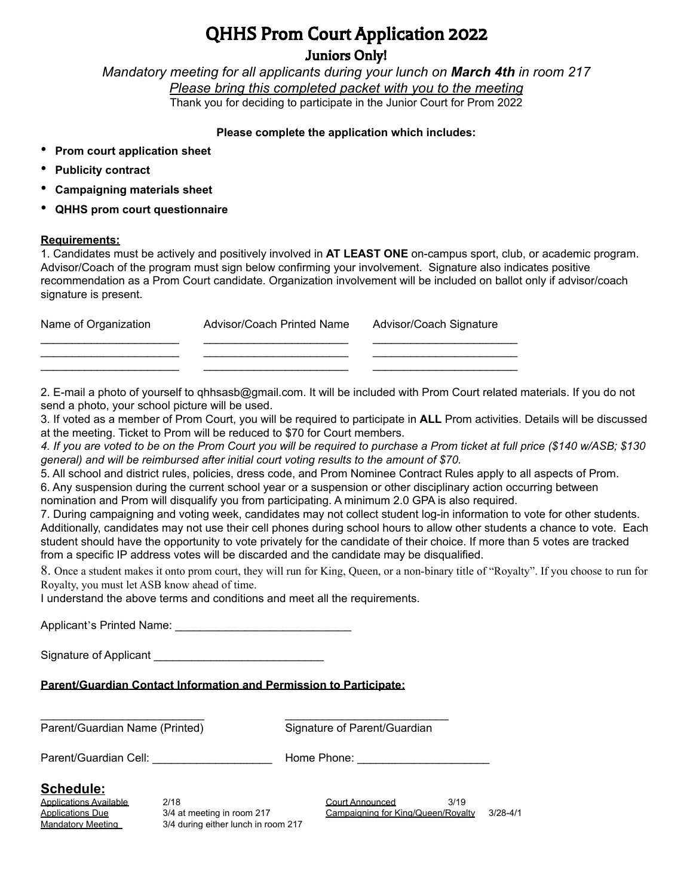# QHHS Prom Court Application 2022

Juniors Only!

*Mandatory meeting for all applicants during your lunch on March 4th in room 217 Please bring this completed packet with you to the meeting* Thank you for deciding to participate in the Junior Court for Prom 2022

### **Please complete the application which includes:**

- **Prom court application sheet**
- **Publicity contract**
- **Campaigning materials sheet**
- **QHHS prom court questionnaire**

#### **Requirements:**

1. Candidates must be actively and positively involved in **AT LEAST ONE** on-campus sport, club, or academic program. Advisor/Coach of the program must sign below confirming your involvement. Signature also indicates positive recommendation as a Prom Court candidate. Organization involvement will be included on ballot only if advisor/coach signature is present.

| Name of Organization | Advisor/Coach Printed Name | Advisor/Coach Signature |
|----------------------|----------------------------|-------------------------|
|                      |                            |                         |
|                      |                            |                         |

2. E-mail a photo of yourself to qhhsasb@gmail.com. It will be included with Prom Court related materials. If you do not send a photo, your school picture will be used.

3. If voted as a member of Prom Court, you will be required to participate in **ALL** Prom activities. Details will be discussed at the meeting. Ticket to Prom will be reduced to \$70 for Court members.

4. If you are voted to be on the Prom Court you will be required to purchase a Prom ticket at full price (\$140 w/ASB; \$130 *general) and will be reimbursed after initial court voting results to the amount of \$70.*

5. All school and district rules, policies, dress code, and Prom Nominee Contract Rules apply to all aspects of Prom.

6. Any suspension during the current school year or a suspension or other disciplinary action occurring between nomination and Prom will disqualify you from participating. A minimum 2.0 GPA is also required.

7. During campaigning and voting week, candidates may not collect student log-in information to vote for other students. Additionally, candidates may not use their cell phones during school hours to allow other students a chance to vote. Each student should have the opportunity to vote privately for the candidate of their choice. If more than 5 votes are tracked from a specific IP address votes will be discarded and the candidate may be disqualified.

8. Once a student makes it onto prom court, they will run for King, Queen, or a non-binary title of "Royalty". If you choose to run for Royalty, you must let ASB know ahead of time.

I understand the above terms and conditions and meet all the requirements.

Applicant's Printed Name: \_\_\_\_\_\_\_\_\_\_\_\_\_\_\_\_\_\_\_\_\_\_\_\_\_\_\_\_

Signature of Applicant

### **Parent/Guardian Contact Information and Permission to Participate:**

 $\mathcal{L}_\text{max}$  , and the contract of the contract of the contract of the contract of the contract of the contract of the contract of the contract of the contract of the contract of the contract of the contract of the contr

Parent/Guardian Name (Printed) Signature of Parent/Guardian

Parent/Guardian Cell: \_\_\_\_\_\_\_\_\_\_\_\_\_\_\_\_\_\_\_\_\_\_\_\_\_ Home Phone: \_\_\_\_\_\_\_\_\_\_\_\_\_\_\_\_\_\_\_\_

### **Schedule:**

Mandatory Meeting 3/4 during either lunch in room 217

Applications Available 2/18 2/18 Court Announced 3/19 Applications Due 3/4 at meeting in room 217 Campaigning for King/Queen/Royalty 3/28-4/1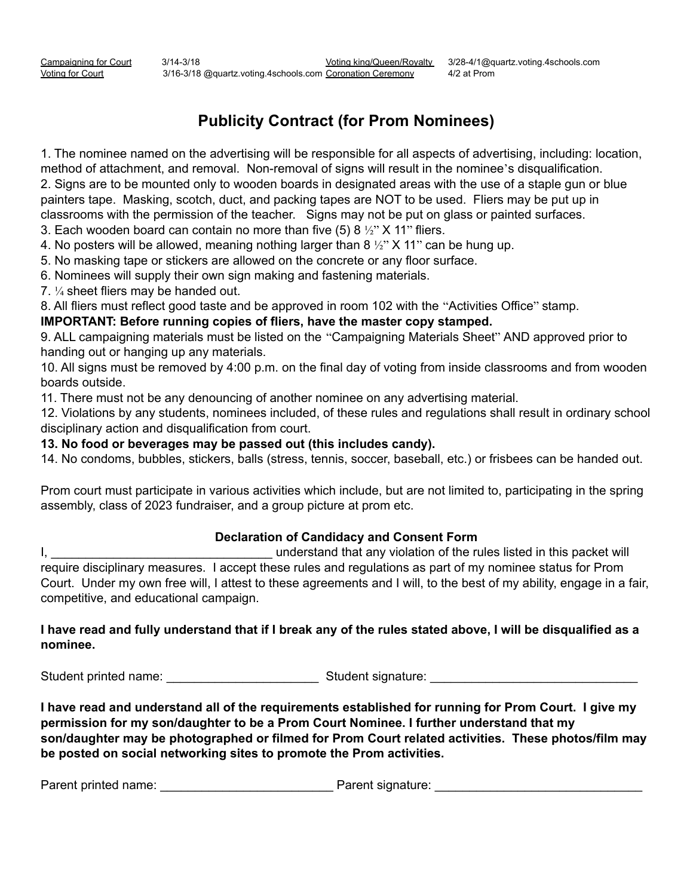# **Publicity Contract (for Prom Nominees)**

1. The nominee named on the advertising will be responsible for all aspects of advertising, including: location, method of attachment, and removal. Non-removal of signs will result in the nominee's disqualification. 2. Signs are to be mounted only to wooden boards in designated areas with the use of a staple gun or blue painters tape. Masking, scotch, duct, and packing tapes are NOT to be used. Fliers may be put up in classrooms with the permission of the teacher. Signs may not be put on glass or painted surfaces.

3. Each wooden board can contain no more than five (5) 8  $\frac{1}{2}$  X 11" fliers.

4. No posters will be allowed, meaning nothing larger than 8  $\frac{1}{2}$ " X 11" can be hung up.

5. No masking tape or stickers are allowed on the concrete or any floor surface.

6. Nominees will supply their own sign making and fastening materials.

7. ¼ sheet fliers may be handed out.

8. All fliers must reflect good taste and be approved in room 102 with the "Activities Office" stamp.

**IMPORTANT: Before running copies of fliers, have the master copy stamped.**

9. ALL campaigning materials must be listed on the "Campaigning Materials Sheet" AND approved prior to handing out or hanging up any materials.

10. All signs must be removed by 4:00 p.m. on the final day of voting from inside classrooms and from wooden boards outside.

11. There must not be any denouncing of another nominee on any advertising material.

12. Violations by any students, nominees included, of these rules and regulations shall result in ordinary school disciplinary action and disqualification from court.

**13. No food or beverages may be passed out (this includes candy).**

14. No condoms, bubbles, stickers, balls (stress, tennis, soccer, baseball, etc.) or frisbees can be handed out.

Prom court must participate in various activities which include, but are not limited to, participating in the spring assembly, class of 2023 fundraiser, and a group picture at prom etc.

### **Declaration of Candidacy and Consent Form**

I, \_\_\_\_\_\_\_\_\_\_\_\_\_\_\_\_\_\_\_\_\_\_\_\_\_\_\_\_\_\_\_\_ understand that any violation of the rules listed in this packet will require disciplinary measures. I accept these rules and regulations as part of my nominee status for Prom Court. Under my own free will, I attest to these agreements and I will, to the best of my ability, engage in a fair, competitive, and educational campaign.

### I have read and fully understand that if I break any of the rules stated above, I will be disqualified as a **nominee.**

Student printed name: \_\_\_\_\_\_\_\_\_\_\_\_\_\_\_\_\_\_\_\_\_\_ Student signature: \_\_\_\_\_\_\_\_\_\_\_\_\_\_\_\_\_\_\_\_\_\_\_\_\_\_\_\_\_\_

I have read and understand all of the requirements established for running for Prom Court. I give my **permission for my son/daughter to be a Prom Court Nominee. I further understand that my son/daughter may be photographed or filmed for Prom Court related activities. These photos/film may be posted on social networking sites to promote the Prom activities.**

Parent printed name: \_\_\_\_\_\_\_\_\_\_\_\_\_\_\_\_\_\_\_\_\_\_\_\_\_ Parent signature: \_\_\_\_\_\_\_\_\_\_\_\_\_\_\_\_\_\_\_\_\_\_\_\_\_\_\_\_\_\_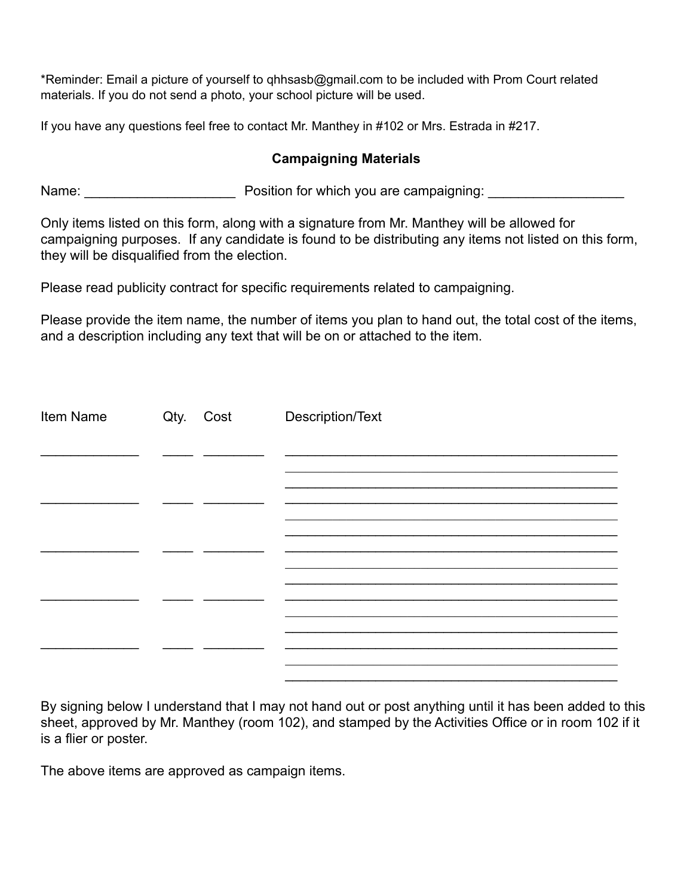\*Reminder: Email a picture of yourself to qhhsasb@gmail.com to be included with Prom Court related materials. If you do not send a photo, your school picture will be used.

If you have any questions feel free to contact Mr. Manthey in #102 or Mrs. Estrada in #217.

## **Campaigning Materials**

Name: etc. Alternative Mannership Position for which you are campaigning:  $\blacksquare$ 

Only items listed on this form, along with a signature from Mr. Manthey will be allowed for campaigning purposes. If any candidate is found to be distributing any items not listed on this form, they will be disqualified from the election.

Please read publicity contract for specific requirements related to campaigning.

Please provide the item name, the number of items you plan to hand out, the total cost of the items, and a description including any text that will be on or attached to the item.

| Item Name | Qty. Cost | Description/Text |
|-----------|-----------|------------------|
|           |           |                  |
|           |           |                  |
|           |           |                  |
|           |           |                  |
|           |           |                  |
|           |           |                  |

By signing below I understand that I may not hand out or post anything until it has been added to this sheet, approved by Mr. Manthey (room 102), and stamped by the Activities Office or in room 102 if it is a flier or poster.

The above items are approved as campaign items.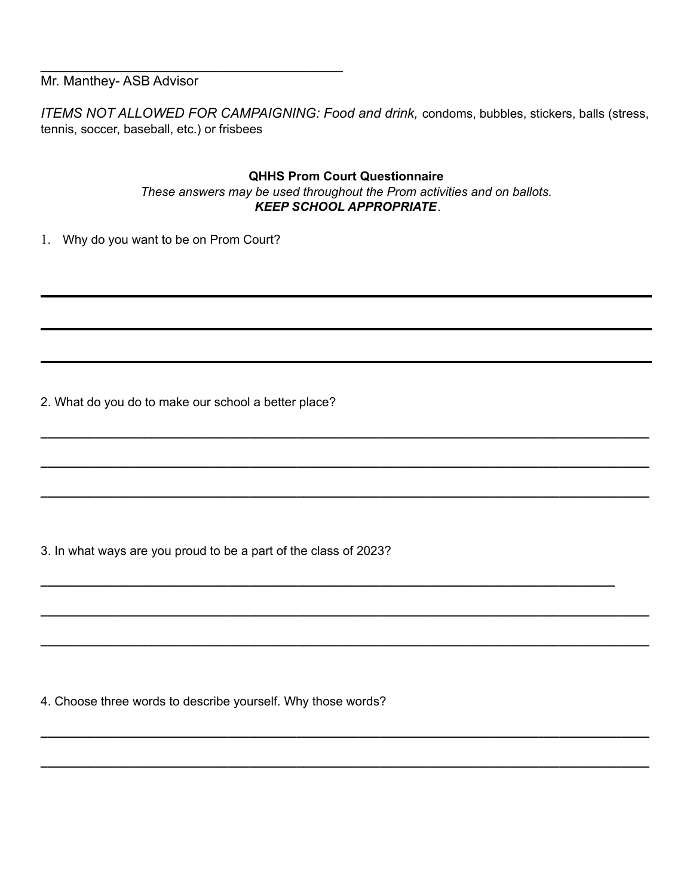Mr. Manthey- ASB Advisor

*ITEMS NOT ALLOWED FOR CAMPAIGNING: Food and drink,* condoms, bubbles, stickers, balls (stress, tennis, soccer, baseball, etc.) or frisbees

### **QHHS Prom Court Questionnaire** *These answers may be used throughout the Prom activities and on ballots. KEEP SCHOOL APPROPRIATE.*

**\_\_\_\_\_\_\_\_\_\_\_\_\_\_\_\_\_\_\_\_\_\_\_\_\_\_\_\_\_\_\_\_\_\_\_\_\_\_\_\_\_\_\_\_\_\_\_\_\_\_\_\_\_\_\_\_\_\_\_\_\_\_\_\_\_\_\_\_\_\_\_\_\_\_\_\_\_\_\_\_\_\_\_\_\_\_\_\_**

**\_\_\_\_\_\_\_\_\_\_\_\_\_\_\_\_\_\_\_\_\_\_\_\_\_\_\_\_\_\_\_\_\_\_\_\_\_\_\_\_\_\_\_\_\_\_\_\_\_\_\_\_\_\_\_\_\_\_\_\_\_\_\_\_\_\_\_\_\_\_\_\_\_\_\_\_\_\_\_\_\_\_\_\_\_\_\_\_**

**\_\_\_\_\_\_\_\_\_\_\_\_\_\_\_\_\_\_\_\_\_\_\_\_\_\_\_\_\_\_\_\_\_\_\_\_\_\_\_\_\_\_\_\_\_\_\_\_\_\_\_\_\_\_\_\_\_\_\_\_\_\_\_\_\_\_\_\_\_\_\_\_\_\_\_\_\_\_\_\_\_\_\_\_\_\_\_\_**

**\_\_\_\_\_\_\_\_\_\_\_\_\_\_\_\_\_\_\_\_\_\_\_\_\_\_\_\_\_\_\_\_\_\_\_\_\_\_\_\_\_\_\_\_\_\_\_\_\_\_\_\_\_\_\_\_\_\_\_\_\_\_\_\_\_\_\_\_\_\_\_\_\_\_\_\_\_\_\_\_\_\_\_**

**\_\_\_\_\_\_\_\_\_\_\_\_\_\_\_\_\_\_\_\_\_\_\_\_\_\_\_\_\_\_\_\_\_\_\_\_\_\_\_\_\_\_\_\_\_\_\_\_\_\_\_\_\_\_\_\_\_\_\_\_\_\_\_\_\_\_\_\_\_\_\_\_\_\_\_\_\_\_\_\_\_\_\_\_\_\_\_\_**

**\_\_\_\_\_\_\_\_\_\_\_\_\_\_\_\_\_\_\_\_\_\_\_\_\_\_\_\_\_\_\_\_\_\_\_\_\_\_\_\_\_\_\_\_\_\_\_\_\_\_\_\_\_\_\_\_\_\_\_\_\_\_\_\_\_\_\_\_\_\_\_\_\_\_\_\_\_\_\_\_\_\_\_\_\_\_\_\_**

**\_\_\_\_\_\_\_\_\_\_\_\_\_\_\_\_\_\_\_\_\_\_\_\_\_\_\_\_\_\_\_\_\_\_\_\_\_\_\_\_\_\_\_\_\_\_\_\_\_\_\_\_\_\_\_\_\_\_\_\_\_\_\_\_\_\_\_\_\_\_\_\_\_\_\_\_\_\_\_\_\_\_\_\_\_\_\_\_**

**\_\_\_\_\_\_\_\_\_\_\_\_\_\_\_\_\_\_\_\_\_\_\_\_\_\_\_\_\_\_\_\_\_\_\_\_\_\_\_\_\_\_\_\_\_\_\_\_\_\_\_\_\_\_\_\_\_\_\_\_\_\_\_\_\_\_\_\_\_\_\_\_\_\_\_\_\_\_\_\_\_\_\_\_\_\_\_\_**

1. Why do you want to be on Prom Court?

 $\mathcal{L}_\text{max}$  , where  $\mathcal{L}_\text{max}$  is the set of the set of the set of the set of the set of the set of the set of the set of the set of the set of the set of the set of the set of the set of the set of the set of the se

2. What do you do to make our school a better place?

3. In what ways are you proud to be a part of the class of 2023?

4. Choose three words to describe yourself. Why those words?